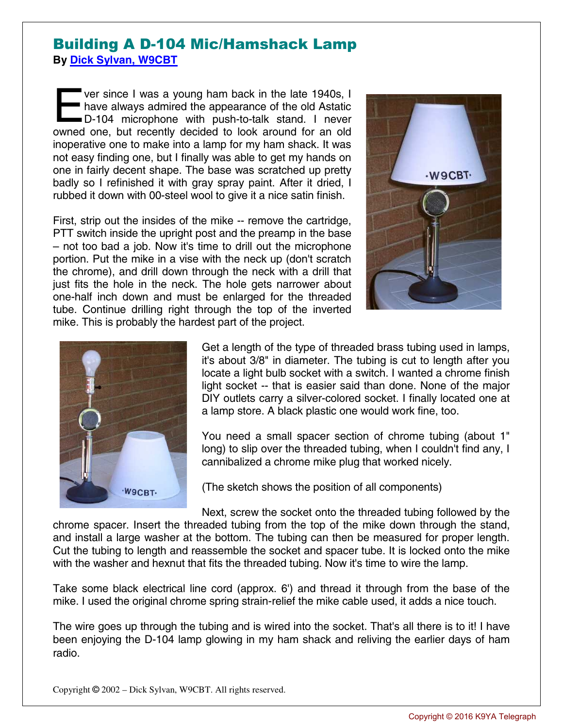## Building A D-104 Mic/Hamshack Lamp **By Dick Sylvan, W9CBT**

ver since I was a young ham back in the late 1940s, I have always admired the appearance of the old Astatic D-104 microphone with push-to-talk stand. I never ver since I was a young ham back in the late 1940s, I have always admired the appearance of the old Astatic D-104 microphone with push-to-talk stand. I never owned one, but recently decided to look around for an old inoperative one to make into a lamp for my ham shack. It was not easy finding one, but I finally was able to get my hands on one in fairly decent shape. The base was scratched up pretty badly so I refinished it with gray spray paint. After it dried, I rubbed it down with 00-steel wool to give it a nice satin finish.

First, strip out the insides of the mike -- remove the cartridge, PTT switch inside the upright post and the preamp in the base – not too bad a job. Now it's time to drill out the microphone portion. Put the mike in a vise with the neck up (don't scratch the chrome), and drill down through the neck with a drill that just fits the hole in the neck. The hole gets narrower about one-half inch down and must be enlarged for the threaded tube. Continue drilling right through the top of the inverted mike. This is probably the hardest part of the project.





Get a length of the type of threaded brass tubing used in lamps, it's about 3/8" in diameter. The tubing is cut to length after you locate a light bulb socket with a switch. I wanted a chrome finish light socket -- that is easier said than done. None of the major DIY outlets carry a silver-colored socket. I finally located one at a lamp store. A black plastic one would work fine, too.

You need a small spacer section of chrome tubing (about 1" long) to slip over the threaded tubing, when I couldn't find any, I cannibalized a chrome mike plug that worked nicely.

(The sketch shows the position of all components)

Next, screw the socket onto the threaded tubing followed by the chrome spacer. Insert the threaded tubing from the top of the mike down through the stand, and install a large washer at the bottom. The tubing can then be measured for proper length. Cut the tubing to length and reassemble the socket and spacer tube. It is locked onto the mike with the washer and hexnut that fits the threaded tubing. Now it's time to wire the lamp.

Take some black electrical line cord (approx. 6') and thread it through from the base of the mike. I used the original chrome spring strain-relief the mike cable used, it adds a nice touch.

The wire goes up through the tubing and is wired into the socket. That's all there is to it! I have been enjoying the D-104 lamp glowing in my ham shack and reliving the earlier days of ham radio.

Copyright © 2002 – Dick Sylvan, W9CBT. All rights reserved.